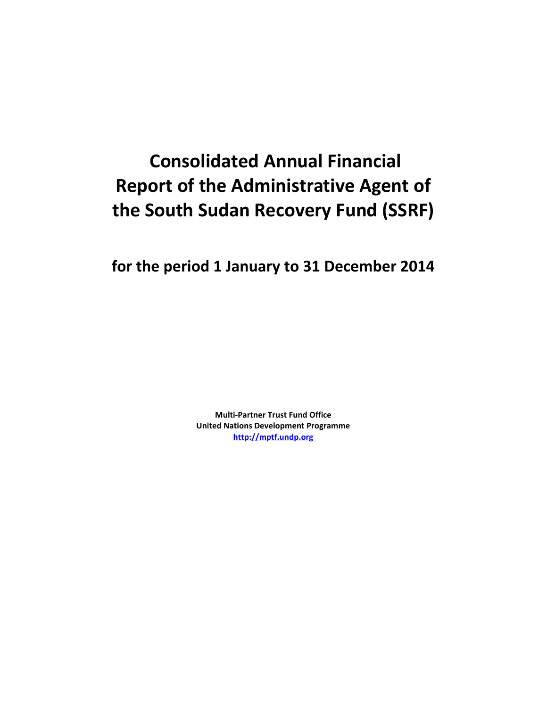# **Consolidated Annual Financial Report of the Administrative Agent of the South Sudan Recovery Fund (SSRF)**

**for the period 1 January to 31 December 2014**

**Multi-Partner Trust Fund Office United Nations Development Programme [http://mptf.undp.org](http://mptf.undp.org/)**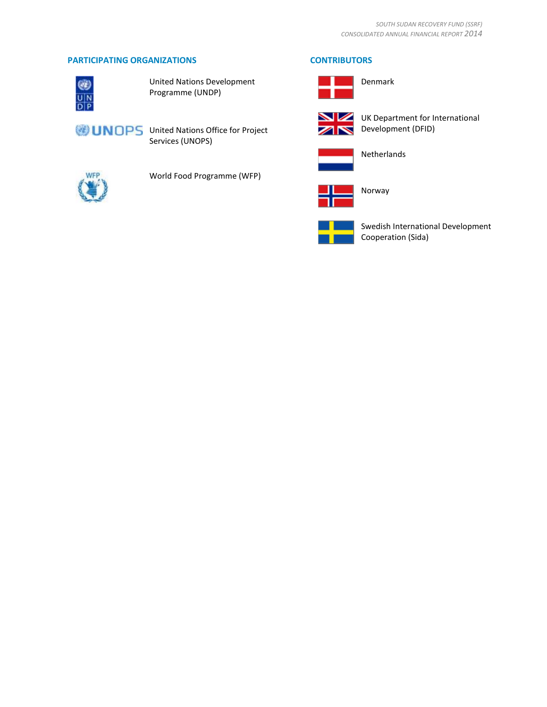# **PARTICIPATING ORGANIZATIONS CONTRIBUTORS**



United Nations Development Programme (UNDP)



Denmark



UK Department for International Development (DFID)



Netherlands



Norway



Swedish International Development Cooperation (Sida)



World Food Programme (WFP)

Services (UNOPS)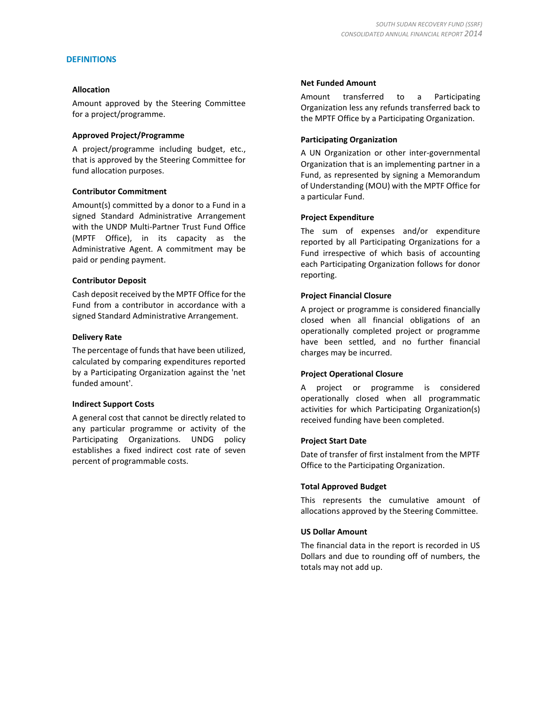#### **DEFINITIONS**

#### **Allocation**

Amount approved by the Steering Committee for a project/programme.

#### **Approved Project/Programme**

A project/programme including budget, etc., that is approved by the Steering Committee for fund allocation purposes.

#### **Contributor Commitment**

Amount(s) committed by a donor to a Fund in a signed Standard Administrative Arrangement with the UNDP Multi-Partner Trust Fund Office (MPTF Office), in its capacity as the Administrative Agent. A commitment may be paid or pending payment.

#### **Contributor Deposit**

Cash deposit received by the MPTF Office for the Fund from a contributor in accordance with a signed Standard Administrative Arrangement.

#### **Delivery Rate**

The percentage of funds that have been utilized, calculated by comparing expenditures reported by a Participating Organization against the 'net funded amount'.

### **Indirect Support Costs**

A general cost that cannot be directly related to any particular programme or activity of the Participating Organizations. UNDG policy establishes a fixed indirect cost rate of seven percent of programmable costs.

#### **Net Funded Amount**

Amount transferred to a Participating Organization less any refunds transferred back to the MPTF Office by a Participating Organization.

#### **Participating Organization**

A UN Organization or other inter-governmental Organization that is an implementing partner in a Fund, as represented by signing a Memorandum of Understanding (MOU) with the MPTF Office for a particular Fund.

#### **Project Expenditure**

The sum of expenses and/or expenditure reported by all Participating Organizations for a Fund irrespective of which basis of accounting each Participating Organization follows for donor reporting.

#### **Project Financial Closure**

A project or programme is considered financially closed when all financial obligations of an operationally completed project or programme have been settled, and no further financial charges may be incurred.

#### **Project Operational Closure**

A project or programme is considered operationally closed when all programmatic activities for which Participating Organization(s) received funding have been completed.

#### **Project Start Date**

Date of transfer of first instalment from the MPTF Office to the Participating Organization.

#### **Total Approved Budget**

This represents the cumulative amount of allocations approved by the Steering Committee.

#### **US Dollar Amount**

The financial data in the report is recorded in US Dollars and due to rounding off of numbers, the totals may not add up.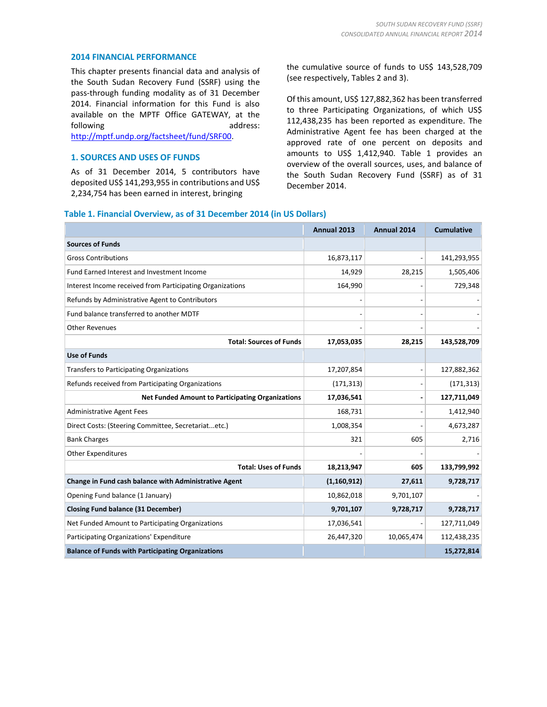#### **2014 FINANCIAL PERFORMANCE**

This chapter presents financial data and analysis of the South Sudan Recovery Fund (SSRF) using the pass-through funding modality as of 31 December 2014. Financial information for this Fund is also available on the MPTF Office GATEWAY, at the following address:

[http://mptf.undp.org/factsheet/fund/SRF00.](http://mptf.undp.org/factsheet/fund/SRF00) 

#### **1. SOURCES AND USES OF FUNDS**

As of 31 December 2014, 5 contributors have deposited US\$ 141,293,955 in contributions and US\$ 2,234,754 has been earned in interest, bringing

the cumulative source of funds to US\$ 143,528,709 (see respectively, Tables 2 and 3).

Of this amount, US\$ 127,882,362 has been transferred to three Participating Organizations, of which US\$ 112,438,235 has been reported as expenditure. The Administrative Agent fee has been charged at the approved rate of one percent on deposits and amounts to US\$ 1,412,940. Table 1 provides an overview of the overall sources, uses, and balance of the South Sudan Recovery Fund (SSRF) as of 31 December 2014.

#### **Table 1. Financial Overview, as of 31 December 2014 (in US Dollars)**

|                                                           | Annual 2013   | Annual 2014 | <b>Cumulative</b> |
|-----------------------------------------------------------|---------------|-------------|-------------------|
| <b>Sources of Funds</b>                                   |               |             |                   |
| <b>Gross Contributions</b>                                | 16,873,117    |             | 141,293,955       |
| Fund Earned Interest and Investment Income                | 14,929        | 28,215      | 1,505,406         |
| Interest Income received from Participating Organizations | 164,990       |             | 729,348           |
| Refunds by Administrative Agent to Contributors           |               |             |                   |
| Fund balance transferred to another MDTF                  |               |             |                   |
| <b>Other Revenues</b>                                     |               |             |                   |
| <b>Total: Sources of Funds</b>                            | 17,053,035    | 28,215      | 143,528,709       |
| <b>Use of Funds</b>                                       |               |             |                   |
| Transfers to Participating Organizations                  | 17,207,854    |             | 127,882,362       |
| Refunds received from Participating Organizations         | (171, 313)    |             | (171, 313)        |
| <b>Net Funded Amount to Participating Organizations</b>   | 17,036,541    |             | 127,711,049       |
| <b>Administrative Agent Fees</b>                          | 168,731       |             | 1,412,940         |
| Direct Costs: (Steering Committee, Secretariatetc.)       | 1,008,354     |             | 4,673,287         |
| <b>Bank Charges</b>                                       | 321           | 605         | 2,716             |
| <b>Other Expenditures</b>                                 |               |             |                   |
| <b>Total: Uses of Funds</b>                               | 18,213,947    | 605         | 133,799,992       |
| Change in Fund cash balance with Administrative Agent     | (1, 160, 912) | 27,611      | 9,728,717         |
| Opening Fund balance (1 January)                          | 10,862,018    | 9,701,107   |                   |
| <b>Closing Fund balance (31 December)</b>                 | 9,701,107     | 9,728,717   | 9,728,717         |
| Net Funded Amount to Participating Organizations          | 17,036,541    |             | 127,711,049       |
| Participating Organizations' Expenditure                  | 26,447,320    | 10,065,474  | 112,438,235       |
| <b>Balance of Funds with Participating Organizations</b>  |               |             | 15,272,814        |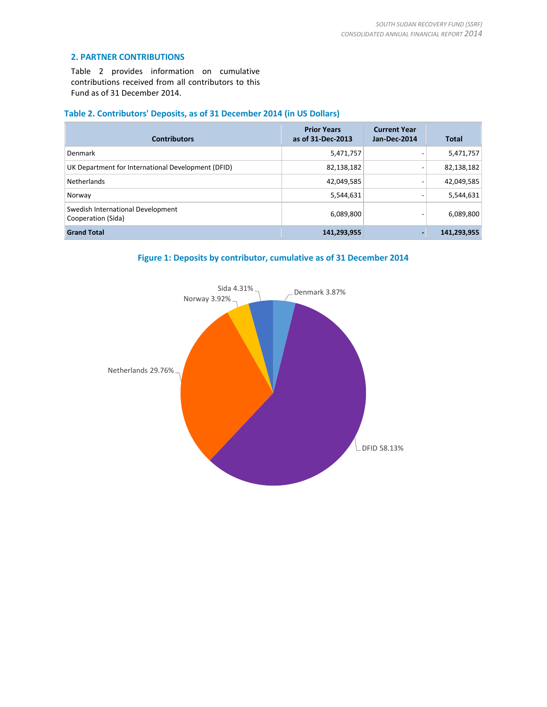#### **2. PARTNER CONTRIBUTIONS**

Table 2 provides information on cumulative contributions received from all contributors to this Fund as of 31 December 2014.

# **Table 2. Contributors' Deposits, as of 31 December 2014 (in US Dollars)**

| <b>Contributors</b>                                     | <b>Prior Years</b><br>as of 31-Dec-2013 | <b>Current Year</b><br>Jan-Dec-2014 | <b>Total</b> |
|---------------------------------------------------------|-----------------------------------------|-------------------------------------|--------------|
| Denmark                                                 | 5,471,757                               |                                     | 5,471,757    |
| UK Department for International Development (DFID)      | 82,138,182                              |                                     | 82,138,182   |
| Netherlands                                             | 42,049,585                              |                                     | 42,049,585   |
| Norway                                                  | 5,544,631                               |                                     | 5,544,631    |
| Swedish International Development<br>Cooperation (Sida) | 6,089,800                               |                                     | 6,089,800    |
| <b>Grand Total</b>                                      | 141,293,955                             | -                                   | 141,293,955  |

**Figure 1: Deposits by contributor, cumulative as of 31 December 2014**

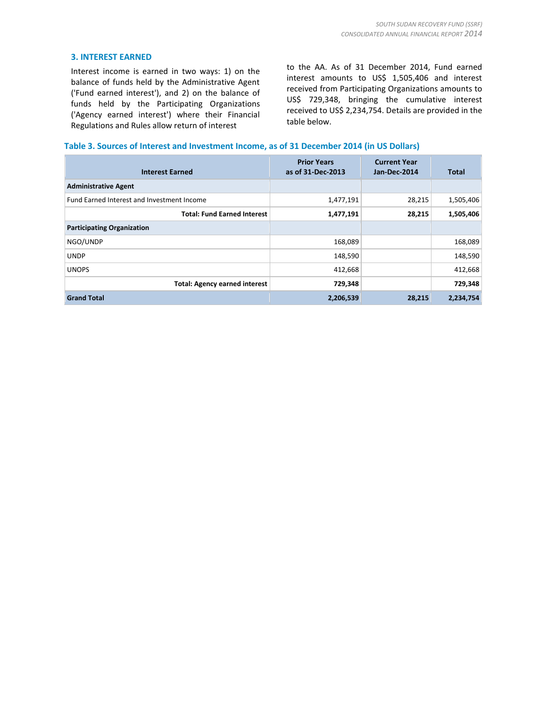#### **3. INTEREST EARNED**

Interest income is earned in two ways: 1) on the balance of funds held by the Administrative Agent ('Fund earned interest'), and 2) on the balance of funds held by the Participating Organizations ('Agency earned interest') where their Financial Regulations and Rules allow return of interest

to the AA. As of 31 December 2014, Fund earned interest amounts to US\$ 1,505,406 and interest received from Participating Organizations amounts to US\$ 729,348, bringing the cumulative interest received to US\$ 2,234,754. Details are provided in the table below.

#### **Table 3. Sources of Interest and Investment Income, as of 31 December 2014 (in US Dollars)**

| <b>Interest Earned</b>                     | <b>Prior Years</b><br>as of 31-Dec-2013 | <b>Current Year</b><br>Jan-Dec-2014 | Total     |
|--------------------------------------------|-----------------------------------------|-------------------------------------|-----------|
| <b>Administrative Agent</b>                |                                         |                                     |           |
| Fund Earned Interest and Investment Income | 1,477,191                               | 28,215                              | 1,505,406 |
| <b>Total: Fund Earned Interest</b>         | 1,477,191                               | 28,215                              | 1,505,406 |
| <b>Participating Organization</b>          |                                         |                                     |           |
| NGO/UNDP                                   | 168,089                                 |                                     | 168,089   |
| <b>UNDP</b>                                | 148,590                                 |                                     | 148,590   |
| <b>UNOPS</b>                               | 412,668                                 |                                     | 412,668   |
| <b>Total: Agency earned interest</b>       | 729,348                                 |                                     | 729,348   |
| <b>Grand Total</b>                         | 2,206,539                               | 28,215                              | 2,234,754 |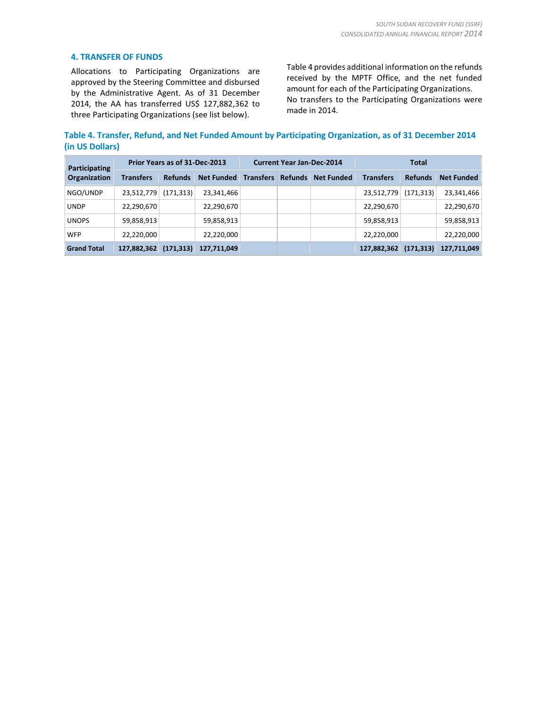#### **4. TRANSFER OF FUNDS**

Allocations to Participating Organizations are approved by the Steering Committee and disbursed by the Administrative Agent. As of 31 December 2014, the AA has transferred US\$ 127,882,362 to three Participating Organizations (see list below).

Table 4 provides additional information on the refunds received by the MPTF Office, and the net funded amount for each of the Participating Organizations. No transfers to the Participating Organizations were made in 2014.

**Table 4. Transfer, Refund, and Net Funded Amount by Participating Organization, as of 31 December 2014 (in US Dollars)**

| Participating       | Prior Years as of 31-Dec-2013 |                |                   | <b>Current Year Jan-Dec-2014</b> |                |                   | <b>Total</b>     |                |                   |  |
|---------------------|-------------------------------|----------------|-------------------|----------------------------------|----------------|-------------------|------------------|----------------|-------------------|--|
| <b>Organization</b> | <b>Transfers</b>              | <b>Refunds</b> | <b>Net Funded</b> | <b>Transfers</b>                 | <b>Refunds</b> | <b>Net Funded</b> | <b>Transfers</b> | <b>Refunds</b> | <b>Net Funded</b> |  |
| NGO/UNDP            | 23,512,779                    | (171, 313)     | 23,341,466        |                                  |                |                   | 23,512,779       | (171, 313)     | 23,341,466        |  |
| <b>UNDP</b>         | 22,290,670                    |                | 22,290,670        |                                  |                |                   | 22,290,670       |                | 22,290,670        |  |
| <b>UNOPS</b>        | 59,858,913                    |                | 59,858,913        |                                  |                |                   | 59,858,913       |                | 59,858,913        |  |
| <b>WFP</b>          | 22,220,000                    |                | 22,220,000        |                                  |                |                   | 22,220,000       |                | 22,220,000        |  |
| <b>Grand Total</b>  | 127,882,362                   | (171, 313)     | 127,711,049       |                                  |                |                   | 127,882,362      | (171, 313)     | 127,711,049       |  |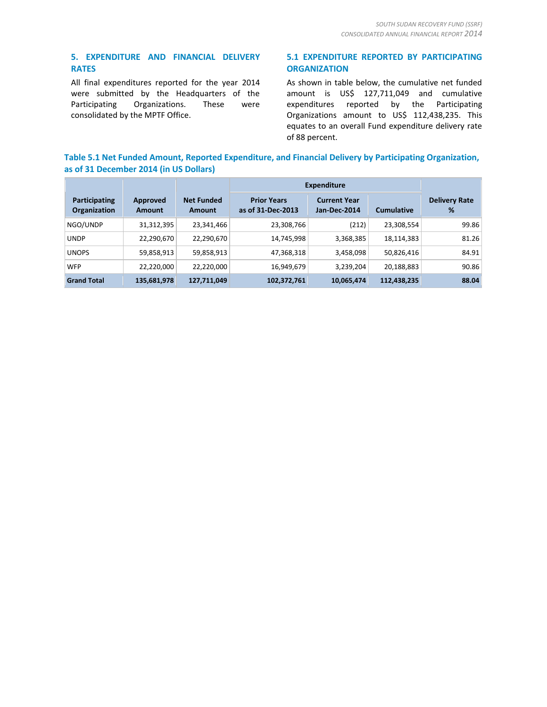# **5. EXPENDITURE AND FINANCIAL DELIVERY RATES**

All final expenditures reported for the year 2014 were submitted by the Headquarters of the Participating Organizations. These were consolidated by the MPTF Office.

## **5.1 EXPENDITURE REPORTED BY PARTICIPATING ORGANIZATION**

As shown in table below, the cumulative net funded amount is US\$ 127,711,049 and cumulative expenditures reported by the Participating Organizations amount to US\$ 112,438,235. This equates to an overall Fund expenditure delivery rate of 88 percent.

# **Table 5.1 Net Funded Amount, Reported Expenditure, and Financial Delivery by Participating Organization, as of 31 December 2014 (in US Dollars)**

|                                      |                           |                                    | <b>Expenditure</b>                      |                                     |                   |                           |
|--------------------------------------|---------------------------|------------------------------------|-----------------------------------------|-------------------------------------|-------------------|---------------------------|
| Participating<br><b>Organization</b> | Approved<br><b>Amount</b> | <b>Net Funded</b><br><b>Amount</b> | <b>Prior Years</b><br>as of 31-Dec-2013 | <b>Current Year</b><br>Jan-Dec-2014 | <b>Cumulative</b> | <b>Delivery Rate</b><br>% |
| NGO/UNDP                             | 31,312,395                | 23,341,466                         | 23,308,766                              | (212)                               | 23,308,554        | 99.86                     |
| <b>UNDP</b>                          | 22,290,670                | 22,290,670                         | 14,745,998                              | 3,368,385                           | 18,114,383        | 81.26                     |
| <b>UNOPS</b>                         | 59,858,913                | 59,858,913                         | 47,368,318                              | 3,458,098                           | 50,826,416        | 84.91                     |
| <b>WFP</b>                           | 22,220,000                | 22,220,000                         | 16,949,679                              | 3,239,204                           | 20,188,883        | 90.86                     |
| <b>Grand Total</b>                   | 135,681,978               | 127,711,049                        | 102,372,761                             | 10,065,474                          | 112,438,235       | 88.04                     |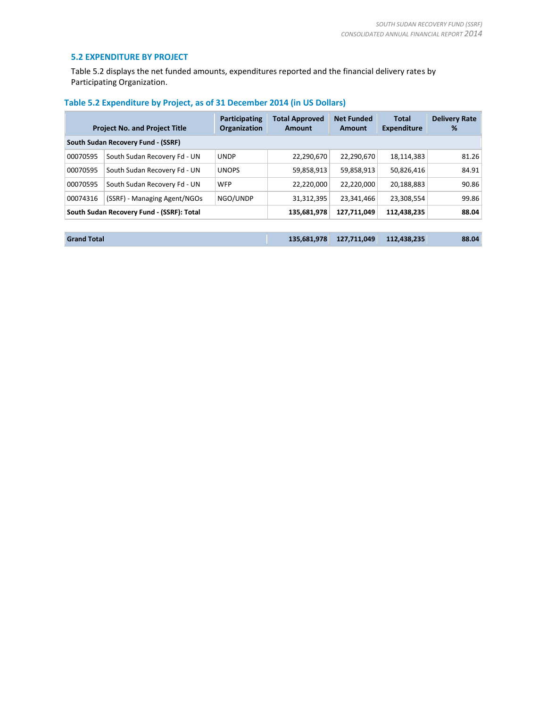#### **5.2 EXPENDITURE BY PROJECT**

Table 5.2 displays the net funded amounts, expenditures reported and the financial delivery rates by Participating Organization.

|          | <b>Project No. and Project Title</b>      | Participating<br>Organization | <b>Total Approved</b><br>Amount | <b>Net Funded</b><br>Amount | <b>Total</b><br><b>Expenditure</b> | <b>Delivery Rate</b><br>% |
|----------|-------------------------------------------|-------------------------------|---------------------------------|-----------------------------|------------------------------------|---------------------------|
|          | South Sudan Recovery Fund - (SSRF)        |                               |                                 |                             |                                    |                           |
| 00070595 | South Sudan Recovery Fd - UN              | <b>UNDP</b>                   | 22,290,670                      | 22,290,670                  | 18,114,383                         | 81.26                     |
| 00070595 | South Sudan Recovery Fd - UN              | <b>UNOPS</b>                  | 59,858,913                      | 59,858,913                  | 50,826,416                         | 84.91                     |
| 00070595 | South Sudan Recovery Fd - UN              | <b>WFP</b>                    | 22,220,000                      | 22,220,000                  | 20,188,883                         | 90.86                     |
| 00074316 | (SSRF) - Managing Agent/NGOs              | NGO/UNDP                      | 31,312,395                      | 23,341,466                  | 23,308,554                         | 99.86                     |
|          | South Sudan Recovery Fund - (SSRF): Total |                               | 135,681,978                     | 127,711,049                 | 112,438,235                        | 88.04                     |
|          |                                           |                               |                                 |                             |                                    |                           |

# **Table 5.2 Expenditure by Project, as of 31 December 2014 (in US Dollars)**

| <b>Grand Total</b> |  | $135,681,978$ $127,711,049$ $112,438,235$ | 88.04 |
|--------------------|--|-------------------------------------------|-------|
|                    |  |                                           |       |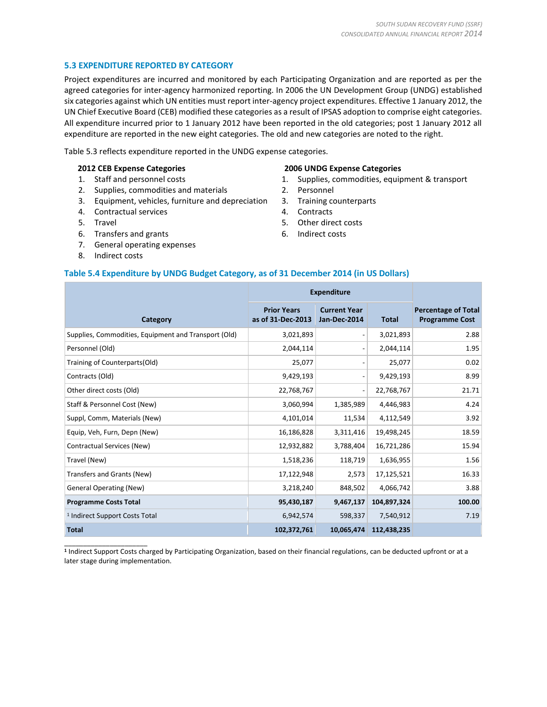### **5.3 EXPENDITURE REPORTED BY CATEGORY**

Project expenditures are incurred and monitored by each Participating Organization and are reported as per the agreed categories for inter-agency harmonized reporting. In 2006 the UN Development Group (UNDG) established six categories against which UN entities must report inter-agency project expenditures. Effective 1 January 2012, the UN Chief Executive Board (CEB) modified these categories as a result of IPSAS adoption to comprise eight categories. All expenditure incurred prior to 1 January 2012 have been reported in the old categories; post 1 January 2012 all expenditure are reported in the new eight categories. The old and new categories are noted to the right.

Table 5.3 reflects expenditure reported in the UNDG expense categories.

#### **2012 CEB Expense Categories**

- 1. Staff and personnel costs
- 2. Supplies, commodities and materials
- 3. Equipment, vehicles, furniture and depreciation
- 4. Contractual services
- 5. Travel
- 6. Transfers and grants
- 7. General operating expenses
- 8. Indirect costs

\_\_\_\_\_\_\_\_\_\_\_\_\_\_\_\_\_\_\_\_\_\_

#### **2006 UNDG Expense Categories**

- 1. Supplies, commodities, equipment & transport
- 2. Personnel
- 3. Training counterparts
- 4. Contracts
- 5. Other direct costs
- 6. Indirect costs

### **Table 5.4 Expenditure by UNDG Budget Category, as of 31 December 2014 (in US Dollars)**

|                                                      | <b>Expenditure</b>                      |                                     |              |                                                     |
|------------------------------------------------------|-----------------------------------------|-------------------------------------|--------------|-----------------------------------------------------|
| Category                                             | <b>Prior Years</b><br>as of 31-Dec-2013 | <b>Current Year</b><br>Jan-Dec-2014 | <b>Total</b> | <b>Percentage of Total</b><br><b>Programme Cost</b> |
| Supplies, Commodities, Equipment and Transport (Old) | 3,021,893                               |                                     | 3,021,893    | 2.88                                                |
| Personnel (Old)                                      | 2,044,114                               |                                     | 2,044,114    | 1.95                                                |
| Training of Counterparts(Old)                        | 25,077                                  |                                     | 25,077       | 0.02                                                |
| Contracts (Old)                                      | 9,429,193                               | $\overline{a}$                      | 9,429,193    | 8.99                                                |
| Other direct costs (Old)                             | 22,768,767                              |                                     | 22,768,767   | 21.71                                               |
| Staff & Personnel Cost (New)                         | 3,060,994                               | 1,385,989                           | 4,446,983    | 4.24                                                |
| Suppl, Comm, Materials (New)                         | 4,101,014                               | 11,534                              | 4,112,549    | 3.92                                                |
| Equip, Veh, Furn, Depn (New)                         | 16,186,828                              | 3,311,416                           | 19,498,245   | 18.59                                               |
| Contractual Services (New)                           | 12,932,882                              | 3,788,404                           | 16,721,286   | 15.94                                               |
| Travel (New)                                         | 1,518,236                               | 118,719                             | 1,636,955    | 1.56                                                |
| Transfers and Grants (New)                           | 17,122,948                              | 2,573                               | 17,125,521   | 16.33                                               |
| <b>General Operating (New)</b>                       | 3,218,240                               | 848,502                             | 4,066,742    | 3.88                                                |
| <b>Programme Costs Total</b>                         | 95,430,187                              | 9,467,137                           | 104,897,324  | 100.00                                              |
| <sup>1</sup> Indirect Support Costs Total            | 6,942,574                               | 598,337                             | 7,540,912    | 7.19                                                |
| <b>Total</b>                                         | 102,372,761                             | 10,065,474                          | 112,438,235  |                                                     |

**1** Indirect Support Costs charged by Participating Organization, based on their financial regulations, can be deducted upfront or at a later stage during implementation.